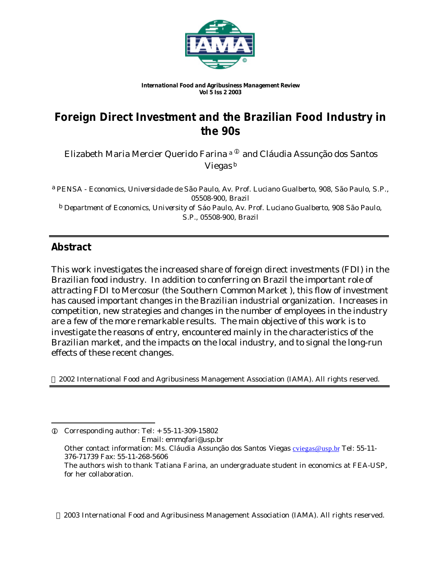

*International Food and Agribusiness Management Review Vol 5 Iss 2 2003*

# **Foreign Direct Investment and the Brazilian Food Industry in the 90s**

Elizabeth Maria Mercier Querido Farina <sup>a ®</sup> and Cláudia Assunção dos Santos Viegas<sup>b</sup>

a *PENSA - Economics, Universidade de São Paulo, Av. Prof. Luciano Gualberto, 908, São Paulo, S.P., 05508-900, Brazil* b *Department of Economics, University of Sáo Paulo, Av. Prof. Luciano Gualberto, 908 São Paulo, S.P., 05508-900, Brazil*

## **Abstract**

l

This work investigates the increased share of foreign direct investments (FDI) in the Brazilian food industry. In addition to conferring on Brazil the important role of attracting FDI to Mercosur (the Southern Common Market ), this flow of investment has caused important changes in the Brazilian industrial organization. Increases in competition, new strategies and changes in the number of employees in the industry are a few of the more remarkable results. The main objective of this work is to investigate the reasons of entry, encountered mainly in the characteristics of the Brazilian market, and the impacts on the local industry, and to signal the long-run effects of these recent changes.

2002 International Food and Agribusiness Management Association (IAMA). All rights reserved.

 $Q$  Corresponding author: Tel:  $+ 55-11-309-15802$  Email: emmqfari@usp.br Other contact information: Ms. Cláudia Assunção dos Santos Viegas cviegas@usp.br Tel: 55-11- 376-71739 Fax: 55-11-268-5606 The authors wish to thank Tatiana Farina, an undergraduate student in economics at FEA-USP, for her collaboration.

2003 International Food and Agribusiness Management Association (IAMA). All rights reserved.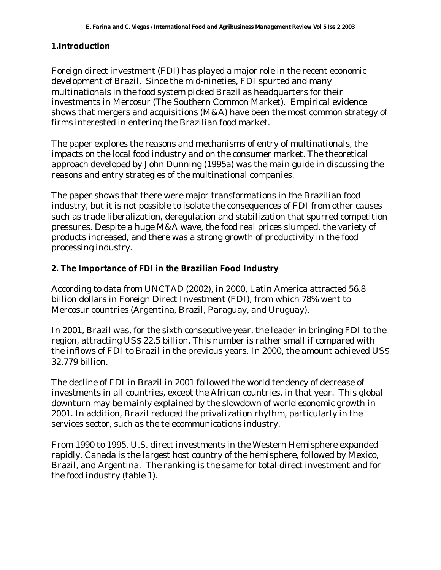#### **1.Introduction**

Foreign direct investment (FDI) has played a major role in the recent economic development of Brazil. Since the mid-nineties, FDI spurted and many multinationals in the food system picked Brazil as headquarters for their investments in Mercosur (The Southern Common Market). Empirical evidence shows that mergers and acquisitions (M&A) have been the most common strategy of firms interested in entering the Brazilian food market.

The paper explores the reasons and mechanisms of entry of multinationals, the impacts on the local food industry and on the consumer market. The theoretical approach developed by John Dunning (1995a) was the main guide in discussing the reasons and entry strategies of the multinational companies.

The paper shows that there were major transformations in the Brazilian food industry, but it is not possible to isolate the consequences of FDI from other causes such as trade liberalization, deregulation and stabilization that spurred competition pressures. Despite a huge M&A wave, the food real prices slumped, the variety of products increased, and there was a strong growth of productivity in the food processing industry.

### **2. The Importance of FDI in the Brazilian Food Industry**

According to data from UNCTAD (2002), in 2000, Latin America attracted 56.8 billion dollars in Foreign Direct Investment (FDI), from which 78% went to Mercosur countries (Argentina, Brazil, Paraguay, and Uruguay).

In 2001, Brazil was, for the sixth consecutive year, the leader in bringing FDI to the region, attracting US\$ 22.5 billion. This number is rather small if compared with the inflows of FDI to Brazil in the previous years. In 2000, the amount achieved US\$ 32.779 billion.

The decline of FDI in Brazil in 2001 followed the world tendency of decrease of investments in all countries, except the African countries, in that year. This global downturn may be mainly explained by the slowdown of world economic growth in 2001. In addition, Brazil reduced the privatization rhythm, particularly in the services sector, such as the telecommunications industry.

From 1990 to 1995, U.S. direct investments in the Western Hemisphere expanded rapidly. Canada is the largest host country of the hemisphere, followed by Mexico, Brazil, and Argentina. The ranking is the same for total direct investment and for the food industry (table 1).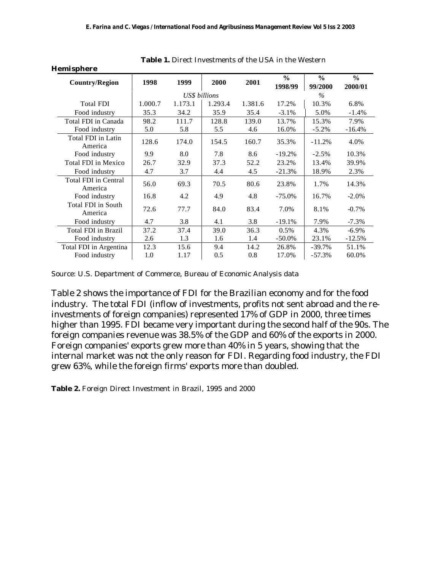| <b>Hemisphere</b>                      |         |               |         |         |                          |                          |                          |
|----------------------------------------|---------|---------------|---------|---------|--------------------------|--------------------------|--------------------------|
| <b>Country/Region</b>                  | 1998    | 1999          | 2000    | 2001    | $\frac{6}{6}$<br>1998/99 | $\frac{0}{0}$<br>99/2000 | $\frac{0}{0}$<br>2000/01 |
|                                        |         | US\$ billions |         |         |                          | $\%$                     |                          |
| <b>Total FDI</b>                       | 1.000.7 | 1.173.1       | 1.293.4 | 1.381.6 | 17.2%                    | 10.3%                    | 6.8%                     |
| Food industry                          | 35.3    | 34.2          | 35.9    | 35.4    | $-3.1%$                  | 5.0%                     | $-1.4%$                  |
| Total FDI in Canada                    | 98.2    | 111.7         | 128.8   | 139.0   | 13.7%                    | 15.3%                    | 7.9%                     |
| Food industry                          | 5.0     | 5.8           | 5.5     | 4.6     | 16.0%                    | $-5.2\%$                 | $-16.4%$                 |
| Total FDI in Latin<br>America          | 128.6   | 174.0         | 154.5   | 160.7   | 35.3%                    | $-11.2%$                 | 4.0%                     |
| Food industry                          | 9.9     | 8.0           | 7.8     | 8.6     | $-19.2%$                 | $-2.5%$                  | 10.3%                    |
| <b>Total FDI</b> in Mexico             | 26.7    | 32.9          | 37.3    | 52.2    | 23.2%                    | 13.4%                    | 39.9%                    |
| Food industry                          | 4.7     | 3.7           | 4.4     | 4.5     | $-21.3%$                 | 18.9%                    | 2.3%                     |
| <b>Total FDI in Central</b><br>America | 56.0    | 69.3          | 70.5    | 80.6    | 23.8%                    | 1.7%                     | 14.3%                    |
| Food industry                          | 16.8    | 4.2           | 4.9     | 4.8     | $-75.0\%$                | 16.7%                    | $-2.0\%$                 |
| Total FDI in South<br>America          | 72.6    | 77.7          | 84.0    | 83.4    | 7.0%                     | 8.1%                     | $-0.7\%$                 |
| Food industry                          | 4.7     | 3.8           | 4.1     | 3.8     | $-19.1%$                 | 7.9%                     | $-7.3%$                  |
| Total FDI in Brazil                    | 37.2    | 37.4          | 39.0    | 36.3    | 0.5%                     | 4.3%                     | $-6.9\%$                 |
| Food industry                          | 2.6     | 1.3           | 1.6     | 1.4     | $-50.0\%$                | 23.1%                    | $-12.5%$                 |
| Total FDI in Argentina                 | 12.3    | 15.6          | 9.4     | 14.2    | 26.8%                    | $-39.7%$                 | 51.1%                    |
| Food industry                          | 1.0     | 1.17          | 0.5     | 0.8     | 17.0%                    | $-57.3%$                 | 60.0%                    |

**Table 1.** Direct Investments of the USA in the Western

Source: U.S. Department of Commerce, Bureau of Economic Analysis data

Table 2 shows the importance of FDI for the Brazilian economy and for the food industry. The total FDI (inflow of investments, profits not sent abroad and the reinvestments of foreign companies) represented 17% of GDP in 2000, three times higher than 1995. FDI became very important during the second half of the 90s. The foreign companies revenue was 38.5% of the GDP and 60% of the exports in 2000. Foreign companies' exports grew more than 40% in 5 years, showing that the internal market was not the only reason for FDI. Regarding food industry, the FDI grew 63%, while the foreign firms' exports more than doubled.

**Table 2.** Foreign Direct Investment in Brazil, 1995 and 2000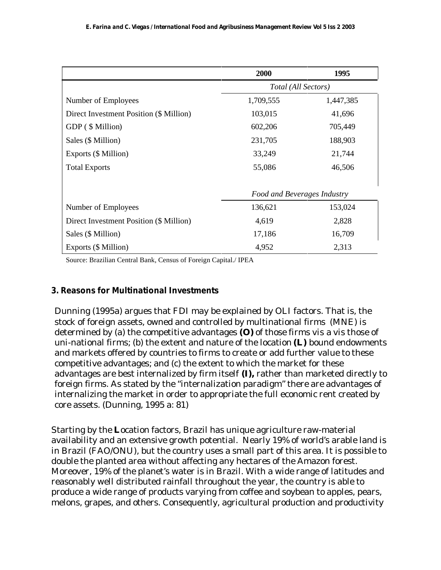|                                         | 2000                               | 1995      |
|-----------------------------------------|------------------------------------|-----------|
|                                         | Total (All Sectors)                |           |
| Number of Employees                     | 1,709,555                          | 1,447,385 |
| Direct Investment Position (\$ Million) | 103,015                            | 41,696    |
| GDP (\$ Million)                        | 602,206                            | 705,449   |
| Sales (\$ Million)                      | 231,705                            | 188,903   |
| Exports (\$ Million)                    | 33,249                             | 21,744    |
| <b>Total Exports</b>                    | 55,086                             | 46,506    |
|                                         | <b>Food and Beverages Industry</b> |           |
| Number of Employees                     | 136,621                            | 153,024   |
| Direct Investment Position (\$ Million) | 4,619                              | 2,828     |
| Sales (\$ Million)                      | 17,186                             | 16,709    |
| Exports (\$ Million)                    | 4,952                              | 2,313     |

Source: Brazilian Central Bank, Census of Foreign Capital./ IPEA

## **3. Reasons for Multinational Investments**

Dunning (1995a) argues that FDI may be explained by OLI factors. That is, the stock of foreign assets, owned and controlled by multinational firms (MNE) is determined by (a) the competitive advantages **(O)** of those firms vis a vis those of uni-national firms; (b) the extent and nature of the location **(L)** bound endowments and markets offered by countries to firms to create or add further value to these competitive advantages; and (c) the extent to which the market for these advantages are best internalized by firm itself **(I),** rather than marketed directly to foreign firms. As stated by the "internalization paradigm" there are advantages of internalizing the market in order to appropriate the full economic rent created by core assets. (Dunning, 1995 a: 81)

Starting by the **L**ocation factors, Brazil has unique agriculture raw-material availability and an extensive growth potential. Nearly 19% of world's arable land is in Brazil (FAO/ONU), but the country uses a small part of this area. It is possible to double the planted area without affecting any hectares of the Amazon forest. Moreover, 19% of the planet's water is in Brazil. With a wide range of latitudes and reasonably well distributed rainfall throughout the year, the country is able to produce a wide range of products varying from coffee and soybean to apples, pears, melons, grapes, and others. Consequently, agricultural production and productivity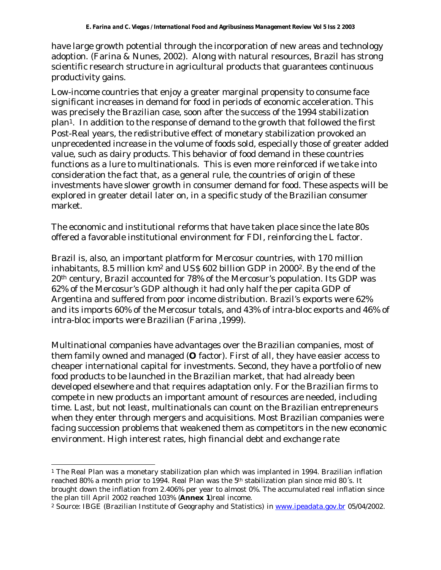have large growth potential through the incorporation of new areas and technology adoption. (Farina & Nunes, 2002). Along with natural resources, Brazil has strong scientific research structure in agricultural products that guarantees continuous productivity gains.

Low-income countries that enjoy a greater marginal propensity to consume face significant increases in demand for food in periods of economic acceleration. This was precisely the Brazilian case, soon after the success of the 1994 stabilization plan1. In addition to the response of demand to the growth that followed the first Post-Real years, the redistributive effect of monetary stabilization provoked an unprecedented increase in the volume of foods sold, especially those of greater added value, such as dairy products. This behavior of food demand in these countries functions as a lure to multinationals. This is even more reinforced if we take into consideration the fact that, as a general rule, the countries of origin of these investments have slower growth in consumer demand for food. These aspects will be explored in greater detail later on, in a specific study of the Brazilian consumer market.

The economic and institutional reforms that have taken place since the late 80s offered a favorable institutional environment for FDI, reinforcing the L factor.

Brazil is, also, an important platform for Mercosur countries, with 170 million inhabitants, 8.5 million km2 and US\$ 602 billion GDP in 20002. By the end of the 20th century, Brazil accounted for 78% of the Mercosur's population. Its GDP was 62% of the Mercosur's GDP although it had only half the per capita GDP of Argentina and suffered from poor income distribution. Brazil's exports were 62% and its imports 60% of the Mercosur totals, and 43% of intra-bloc exports and 46% of intra-bloc imports were Brazilian (Farina ,1999).

Multinational companies have advantages over the Brazilian companies, most of them family owned and managed (**O** factor). First of all, they have easier access to cheaper international capital for investments. Second, they have a portfolio of new food products to be launched in the Brazilian market, that had already been developed elsewhere and that requires adaptation only. For the Brazilian firms to compete in new products an important amount of resources are needed, including time. Last, but not least, multinationals can count on the Brazilian entrepreneurs when they enter through mergers and acquisitions. Most Brazilian companies were facing succession problems that weakened them as competitors in the new economic environment. High interest rates, high financial debt and exchange rate

l

<sup>&</sup>lt;sup>1</sup> The Real Plan was a monetary stabilization plan which was implanted in 1994. Brazilian inflation reached 80% a month prior to 1994. Real Plan was the  $5<sup>th</sup>$  stabilization plan since mid 80's. It brought down the inflation from 2.406% per year to almost 0%. The accumulated real inflation since the plan till April 2002 reached 103% (**Annex 1**)real income.

<sup>2</sup> Source: IBGE (Brazilian Institute of Geography and Statistics) *in* www.ipeadata.gov.br 05/04/2002.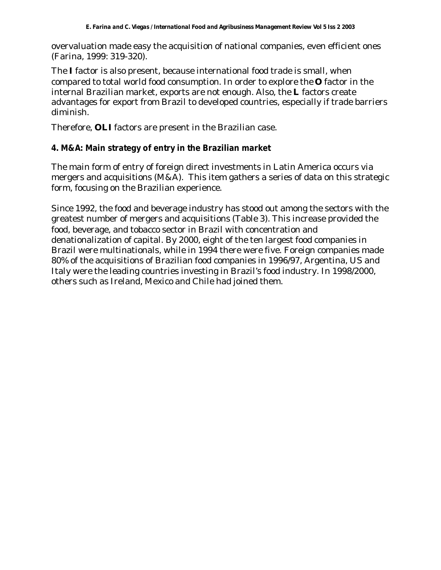overvaluation made easy the acquisition of national companies, even efficient ones (Farina, 1999: 319-320).

The **I** factor is also present, because international food trade is small, when compared to total world food consumption. In order to explore the **O** factor in the internal Brazilian market, exports are not enough. Also, the **L** factors create advantages for export from Brazil to developed countries, especially if trade barriers diminish.

Therefore, **OLI** factors are present in the Brazilian case.

### **4. M&A: Main strategy of entry in the Brazilian market**

The main form of entry of foreign direct investments in Latin America occurs via mergers and acquisitions (M&A). This item gathers a series of data on this strategic form, focusing on the Brazilian experience.

Since 1992, the food and beverage industry has stood out among the sectors with the greatest number of mergers and acquisitions (Table 3). This increase provided the food, beverage, and tobacco sector in Brazil with concentration and denationalization of capital. By 2000, eight of the ten largest food companies in Brazil were multinationals, while in 1994 there were five. Foreign companies made 80% of the acquisitions of Brazilian food companies in 1996/97, Argentina, US and Italy were the leading countries investing in Brazil's food industry. In 1998/2000, others such as Ireland, Mexico and Chile had joined them.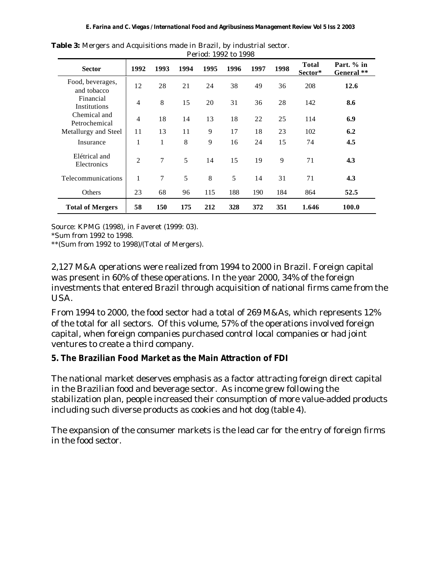|                                 | 1 CHUU. 1994 W 1990         |      |      |      |      |      |      |                         |                          |
|---------------------------------|-----------------------------|------|------|------|------|------|------|-------------------------|--------------------------|
| <b>Sector</b>                   | 1992                        | 1993 | 1994 | 1995 | 1996 | 1997 | 1998 | <b>Total</b><br>Sector* | Part. % in<br>General ** |
| Food, beverages,<br>and tobacco | 12                          | 28   | 21   | 24   | 38   | 49   | 36   | 208                     | 12.6                     |
| Financial<br>Institutions       | $\overline{4}$              | 8    | 15   | 20   | 31   | 36   | 28   | 142                     | 8.6                      |
| Chemical and<br>Petrochemical   | 4                           | 18   | 14   | 13   | 18   | 22   | 25   | 114                     | 6.9                      |
| Metallurgy and Steel            | 11                          | 13   | 11   | 9    | 17   | 18   | 23   | 102                     | 6.2                      |
| Insurance                       | 1                           | 1    | 8    | 9    | 16   | 24   | 15   | 74                      | 4.5                      |
| Elétrical and<br>Electronics    | $\mathcal{D}_{\mathcal{L}}$ | 7    | 5    | 14   | 15   | 19   | 9    | 71                      | 4.3                      |
| Telecommunications              | $\mathbf{1}$                | 7    | 5    | 8    | 5    | 14   | 31   | 71                      | 4.3                      |
| Others                          | 23                          | 68   | 96   | 115  | 188  | 190  | 184  | 864                     | 52.5                     |
| <b>Total of Mergers</b>         | 58                          | 150  | 175  | 212  | 328  | 372  | 351  | 1.646                   | 100.0                    |

**Table 3:** Mergers and Acquisitions made in Brazil, by industrial sector. Period: 1992 to 1998

Source: KPMG (1998), *in* Faveret (1999: 03).

\*Sum from 1992 to 1998.

\*\*(Sum from 1992 to 1998)/(Total of Mergers).

2,127 M&A operations were realized from 1994 to 2000 in Brazil. Foreign capital was present in 60% of these operations. In the year 2000, 34% of the foreign investments that entered Brazil through acquisition of national firms came from the USA.

From 1994 to 2000, the food sector had a total of 269 M&As, which represents 12% of the total for all sectors. Of this volume, 57% of the operations involved foreign capital, when foreign companies purchased control local companies or had joint ventures to create a third company.

## **5. The Brazilian Food Market as the Main Attraction of FDI**

The national market deserves emphasis as a factor attracting foreign direct capital in the Brazilian food and beverage sector. As income grew following the stabilization plan, people increased their consumption of more value-added products including such diverse products as cookies and hot dog (table 4).

The expansion of the consumer markets is the lead car for the entry of foreign firms in the food sector.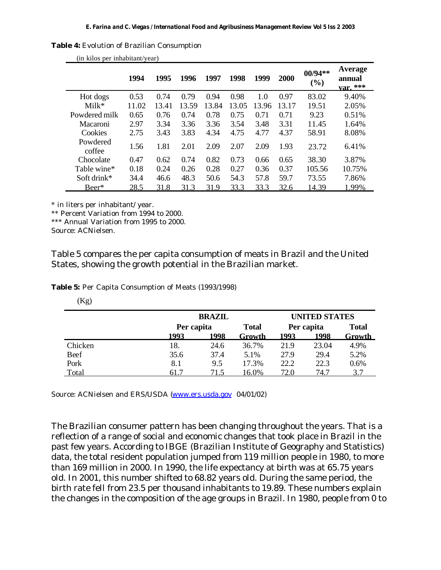|  |  |  |  | Table 4: Evolution of Brazilian Consumption |  |  |
|--|--|--|--|---------------------------------------------|--|--|
|--|--|--|--|---------------------------------------------|--|--|

|                    | 1994  | 1995  | 1996  | 1997  | 1998  | 1999  | <b>2000</b> | $00/94**$<br>$(\%)$ | Average<br>annual<br>var. $***$ |
|--------------------|-------|-------|-------|-------|-------|-------|-------------|---------------------|---------------------------------|
| Hot dogs           | 0.53  | 0.74  | 0.79  | 0.94  | 0.98  | 1.0   | 0.97        | 83.02               | 9.40%                           |
| $Milk*$            | 11.02 | 13.41 | 13.59 | 13.84 | 13.05 | 13.96 | 13.17       | 19.51               | 2.05%                           |
| Powdered milk      | 0.65  | 0.76  | 0.74  | 0.78  | 0.75  | 0.71  | 0.71        | 9.23                | 0.51%                           |
| Macaroni           | 2.97  | 3.34  | 3.36  | 3.36  | 3.54  | 3.48  | 3.31        | 11.45               | 1.64%                           |
| Cookies            | 2.75  | 3.43  | 3.83  | 4.34  | 4.75  | 4.77  | 4.37        | 58.91               | 8.08%                           |
| Powdered<br>coffee | 1.56  | 1.81  | 2.01  | 2.09  | 2.07  | 2.09  | 1.93        | 23.72               | 6.41%                           |
| Chocolate          | 0.47  | 0.62  | 0.74  | 0.82  | 0.73  | 0.66  | 0.65        | 38.30               | 3.87%                           |
| Table wine*        | 0.18  | 0.24  | 0.26  | 0.28  | 0.27  | 0.36  | 0.37        | 105.56              | 10.75%                          |
| Soft drink*        | 34.4  | 46.6  | 48.3  | 50.6  | 54.3  | 57.8  | 59.7        | 73.55               | 7.86%                           |
| Beer*              | 28.5  | 31.8  | 31.3  | 31.9  | 33.3  | 33.3  | 32.6        | 14.39               | 1.99%                           |

(in kilos per inhabitant/year)

\* in liters per inhabitant/ year.

\*\* Percent Variation from 1994 to 2000.

\*\*\* Annual Variation from 1995 to 2000.

Source: ACNielsen.

Table 5 compares the per capita consumption of meats in Brazil and the United States, showing the growth potential in the Brazilian market.

**Table 5:** Per Capita Consumption of Meats (1993/1998)

 $(Kg)$ 

|         |      | <b>BRAZIL</b> |        |            |              | <b>UNITED STATES</b> |  |  |  |
|---------|------|---------------|--------|------------|--------------|----------------------|--|--|--|
|         |      | Per capita    |        | Per capita | <b>Total</b> |                      |  |  |  |
|         | 1993 | 1998          | Growth | 1993       | 1998         | Growth               |  |  |  |
| Chicken | 18.  | 24.6          | 36.7%  | 21.9       | 23.04        | 4.9%                 |  |  |  |
| Beef    | 35.6 | 37.4          | 5.1%   | 27.9       | 29.4         | 5.2%                 |  |  |  |
| Pork    | 8.1  | 9.5           | 17.3%  | 22.2       | 22.3         | 0.6%                 |  |  |  |
| Total   | 61.7 | 71.5          | 16.0%  | 72.0       | 74.7         | 3.7                  |  |  |  |

Source: ACNielsen and ERS/USDA (www.ers.usda.gov 04/01/02)

The Brazilian consumer pattern has been changing throughout the years. That is a reflection of a range of social and economic changes that took place in Brazil in the past few years. According to IBGE (Brazilian Institute of Geography and Statistics) data, the total resident population jumped from 119 million people in 1980, to more than 169 million in 2000. In 1990, the life expectancy at birth was at 65.75 years old. In 2001, this number shifted to 68.82 years old. During the same period, the birth rate fell from 23.5 per thousand inhabitants to 19.89. These numbers explain the changes in the composition of the age groups in Brazil. In 1980, people from 0 to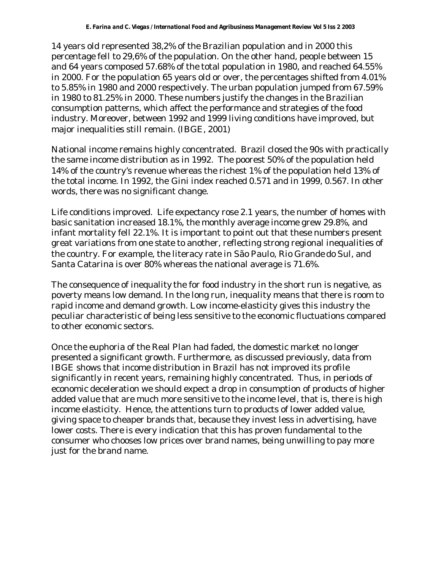14 years old represented 38,2% of the Brazilian population and in 2000 this percentage fell to 29,6% of the population. On the other hand, people between 15 and 64 years composed 57.68% of the total population in 1980, and reached 64.55% in 2000. For the population 65 years old or over, the percentages shifted from 4.01% to 5.85% in 1980 and 2000 respectively. The urban population jumped from 67.59% in 1980 to 81.25% in 2000. These numbers justify the changes in the Brazilian consumption patterns, which affect the performance and strategies of the food industry. Moreover, between 1992 and 1999 living conditions have improved, but major inequalities still remain. (IBGE, 2001)

National income remains highly concentrated. Brazil closed the 90s with practically the same income distribution as in 1992. The poorest 50% of the population held 14% of the country's revenue whereas the richest 1% of the population held 13% of the total income. In 1992, the Gini index reached 0.571 and in 1999, 0.567. In other words, there was no significant change.

Life conditions improved. Life expectancy rose 2.1 years, the number of homes with basic sanitation increased 18.1%, the monthly average income grew 29.8%, and infant mortality fell 22.1%. It is important to point out that these numbers present great variations from one state to another, reflecting strong regional inequalities of the country. For example, the literacy rate in São Paulo, Rio Grande do Sul, and Santa Catarina is over 80% whereas the national average is 71.6%.

The consequence of inequality the for food industry in the short run is negative, as poverty means low demand. In the long run, inequality means that there is room to rapid income and demand growth. Low income-elasticity gives this industry the peculiar characteristic of being less sensitive to the economic fluctuations compared to other economic sectors.

Once the euphoria of the Real Plan had faded, the domestic market no longer presented a significant growth. Furthermore, as discussed previously, data from IBGE shows that income distribution in Brazil has not improved its profile significantly in recent years, remaining highly concentrated. Thus, in periods of economic deceleration we should expect a drop in consumption of products of higher added value that are much more sensitive to the income level, that is, there is high income elasticity. Hence, the attentions turn to products of lower added value, giving space to cheaper brands that, because they invest less in advertising, have lower costs. There is every indication that this has proven fundamental to the consumer who chooses low prices over brand names, being unwilling to pay more just for the brand name.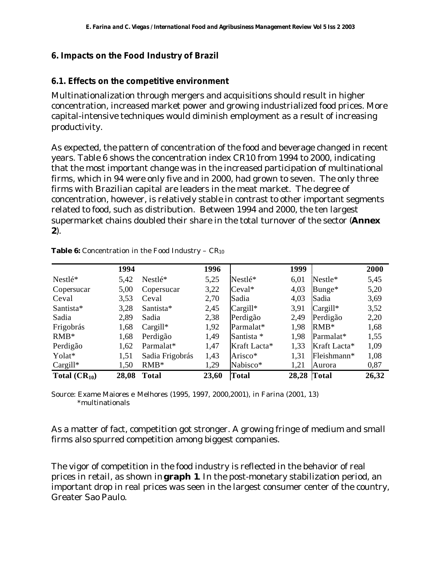#### **6. Impacts on the Food Industry of Brazil**

#### **6.1. Effects on the competitive environment**

Multinationalization through mergers and acquisitions should result in higher concentration, increased market power and growing industrialized food prices. More capital-intensive techniques would diminish employment as a result of increasing productivity.

As expected, the pattern of concentration of the food and beverage changed in recent years. Table 6 shows the concentration index CR10 from 1994 to 2000, indicating that the most important change was in the increased participation of multinational firms, which in 94 were only five and in 2000, had grown to seven. The only three firms with Brazilian capital are leaders in the meat market. The degree of concentration, however, is relatively stable in contrast to other important segments related to food, such as distribution. Between 1994 and 2000, the ten largest supermarket chains doubled their share in the total turnover of the sector (**Annex 2**).

|                   | 1994  |                 | 1996  |              | 1999  |              | 2000  |
|-------------------|-------|-----------------|-------|--------------|-------|--------------|-------|
| Nestlé*           | 5,42  | Nestlé*         | 5,25  | Nestlé*      | 6,01  | Nestle*      | 5,45  |
| Copersucar        | 5,00  | Copersucar      | 3,22  | $Ceval*$     | 4,03  | $Bunge*$     | 5,20  |
| Ceval             | 3,53  | Ceval           | 2,70  | Sadia        | 4,03  | Sadia        | 3,69  |
| Santista*         | 3,28  | Santista*       | 2,45  | $Cargill*$   | 3,91  | $Cargill*$   | 3,52  |
| Sadia             | 2,89  | Sadia           | 2,38  | Perdigão     | 2,49  | Perdigão     | 2,20  |
| Frigobrás         | 1,68  | $Cargill*$      | 1,92  | Parmalat*    | 1,98  | $RMB*$       | 1,68  |
| $RMB*$            | 1,68  | Perdigão        | 1,49  | Santista *   | 1,98  | Parmalat*    | 1,55  |
| Perdigão          | 1,62  | Parmalat*       | 1,47  | Kraft Lacta* | 1.33  | Kraft Lacta* | 1,09  |
| Yolat*            | 1,51  | Sadia Frigobrás | 1,43  | Arisco*      | 1,31  | Fleishmann*  | 1,08  |
| $Cargill*$        | 1,50  | $RMB*$          | 1,29  | Nabisco*     | 1,21  | Aurora       | 0,87  |
| Total $(CR_{10})$ | 28,08 | <b>Total</b>    | 23,60 | <b>Total</b> | 28,28 | Total        | 26,32 |

**Table 6:** Concentration in the Food Industry –  $CR_{10}$ 

Source: Exame Maiores e Melhores (1995, 1997, 2000,2001), *in* Farina (2001, 13) \*multinationals

As a matter of fact, competition got stronger. A growing fringe of medium and small firms also spurred competition among biggest companies.

The vigor of competition in the food industry is reflected in the behavior of real prices in retail, as shown in **graph 1**. In the post-monetary stabilization period, an important drop in real prices was seen in the largest consumer center of the country, Greater Sao Paulo.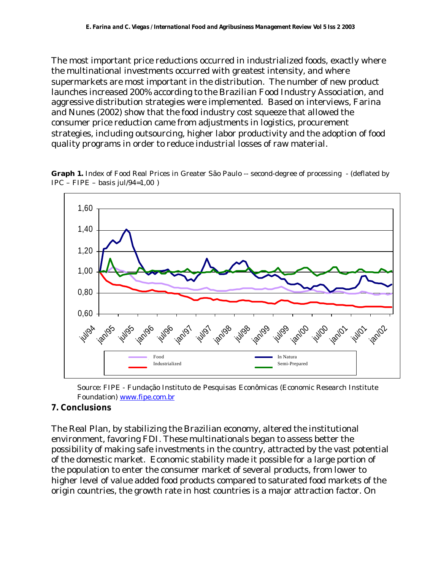The most important price reductions occurred in industrialized foods, exactly where the multinational investments occurred with greatest intensity, and where supermarkets are most important in the distribution. The number of new product launches increased 200% according to the Brazilian Food Industry Association, and aggressive distribution strategies were implemented. Based on interviews, Farina and Nunes (2002) show that the food industry cost squeeze that allowed the consumer price reduction came from adjustments in logistics, procurement strategies, including outsourcing, higher labor productivity and the adoption of food quality programs in order to reduce industrial losses of raw material.



**Graph 1.** Index of Food Real Prices in Greater São Paulo -- second-degree of processing - (deflated by  $IPC - FIPE - basis$  jul/94=1,00)

Source: FIPE - Fundação Instituto de Pesquisas Econômicas (Economic Research Institute Foundation) www.fipe.com.br

## **7. Conclusions**

The Real Plan, by stabilizing the Brazilian economy, altered the institutional environment, favoring FDI. These multinationals began to assess better the possibility of making safe investments in the country, attracted by the vast potential of the domestic market. Economic stability made it possible for a large portion of the population to enter the consumer market of several products, from lower to higher level of value added food products compared to saturated food markets of the origin countries, the growth rate in host countries is a major attraction factor. On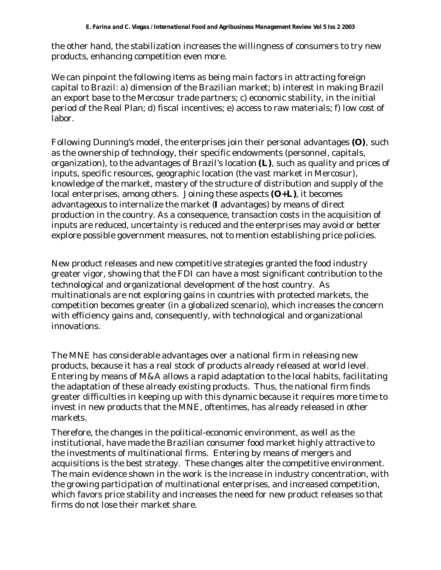the other hand, the stabilization increases the willingness of consumers to try new products, enhancing competition even more.

We can pinpoint the following items as being main factors in attracting foreign capital to Brazil: a) dimension of the Brazilian market; b) interest in making Brazil an export base to the Mercosur trade partners; c) economic stability, in the initial period of the Real Plan; d) fiscal incentives; e) access to raw materials; f) low cost of labor.

Following Dunning's model, the enterprises join their personal advantages **(O)**, such as the ownership of technology, their specific endowments (personnel, capitals, organization), to the advantages of Brazil's location **(L)**, such as quality and prices of inputs, specific resources, geographic location (the vast market in Mercosur), knowledge of the market, mastery of the structure of distribution and supply of the local enterprises, among others. Joining these aspects **(O+L)**, it becomes advantageous to internalize the market (**I** advantages) by means of direct production in the country. As a consequence, transaction costs in the acquisition of inputs are reduced, uncertainty is reduced and the enterprises may avoid or better explore possible government measures, not to mention establishing price policies.

New product releases and new competitive strategies granted the food industry greater vigor, showing that the FDI can have a most significant contribution to the technological and organizational development of the host country. As multinationals are not exploring gains in countries with protected markets, the competition becomes greater (in a globalized scenario), which increases the concern with efficiency gains and, consequently, with technological and organizational innovations.

The MNE has considerable advantages over a national firm in releasing new products, because it has a real stock of products already released at world level. Entering by means of M&A allows a rapid adaptation to the local habits, facilitating the adaptation of these already existing products. Thus, the national firm finds greater difficulties in keeping up with this dynamic because it requires more time to invest in new products that the MNE, oftentimes, has already released in other markets.

Therefore, the changes in the political-economic environment, as well as the institutional, have made the Brazilian consumer food market highly attractive to the investments of multinational firms. Entering by means of mergers and acquisitions is the best strategy. These changes alter the competitive environment. The main evidence shown in the work is the increase in industry concentration, with the growing participation of multinational enterprises, and increased competition, which favors price stability and increases the need for new product releases so that firms do not lose their market share.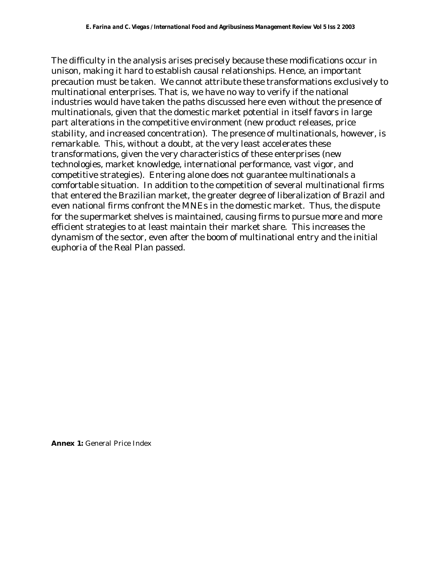The difficulty in the analysis arises precisely because these modifications occur in unison, making it hard to establish causal relationships. Hence, an important precaution must be taken. We cannot attribute these transformations exclusively to multinational enterprises. That is, we have no way to verify if the national industries would have taken the paths discussed here even without the presence of multinationals, given that the domestic market potential in itself favors in large part alterations in the competitive environment (new product releases, price stability, and increased concentration). The presence of multinationals, however, is remarkable. This, without a doubt, at the very least accelerates these transformations, given the very characteristics of these enterprises (new technologies, market knowledge, international performance, vast vigor, and competitive strategies). Entering alone does not guarantee multinationals a comfortable situation. In addition to the competition of several multinational firms that entered the Brazilian market, the greater degree of liberalization of Brazil and even national firms confront the MNEs in the domestic market. Thus, the dispute for the supermarket shelves is maintained, causing firms to pursue more and more efficient strategies to at least maintain their market share. This increases the dynamism of the sector, even after the boom of multinational entry and the initial euphoria of the Real Plan passed.

**Annex 1:** General Price Index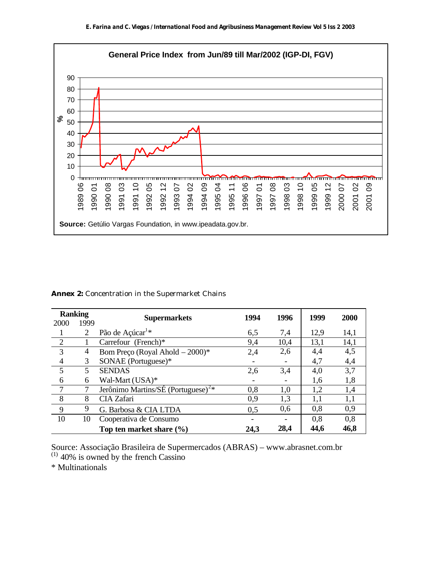

**Annex 2:** Concentration in the Supermarket Chains

| <b>Ranking</b> |      | <b>Supermarkets</b>                            | 1994 | 1996 | 1999 | <b>2000</b> |
|----------------|------|------------------------------------------------|------|------|------|-------------|
| 2000           | 1999 |                                                |      |      |      |             |
|                | 2    | Pão de Açúcar <sup>1*</sup>                    | 6,5  | 7,4  | 12,9 | 14,1        |
| $\frac{2}{3}$  |      | Carrefour (French)*                            | 9,4  | 10,4 | 13,1 | 14,1        |
| 3              | 4    | Bom Preço (Royal Ahold - 2000)*                | 2,4  | 2,6  | 4,4  | 4,5         |
| 4              | 3    | SONAE (Portuguese)*                            |      |      | 4,7  | 4,4         |
| 5              | 5    | <b>SENDAS</b>                                  | 2,6  | 3,4  | 4,0  | 3,7         |
| 6              | 6    | Wal-Mart (USA)*                                |      |      | 1,6  | 1,8         |
| $\overline{7}$ |      | Jerônimo Martins/SÉ (Portuguese) <sup>2*</sup> | 0,8  | 1,0  | 1,2  | 1,4         |
| 8              | 8    | CIA Zafari                                     | 0,9  | 1,3  | 1,1  | 1,1         |
| 9              | 9    | G. Barbosa & CIA LTDA                          | 0,5  | 0,6  | 0,8  | 0,9         |
| 10             | 10   | Cooperativa de Consumo                         |      |      | 0,8  | 0,8         |
|                |      | Top ten market share $(\% )$                   | 24,3 | 28,4 | 44,6 | 46,8        |

Source: Associação Brasileira de Supermercados (ABRAS) – www.abrasnet.com.br  $(1)$  40% is owned by the french Cassino

\* Multinationals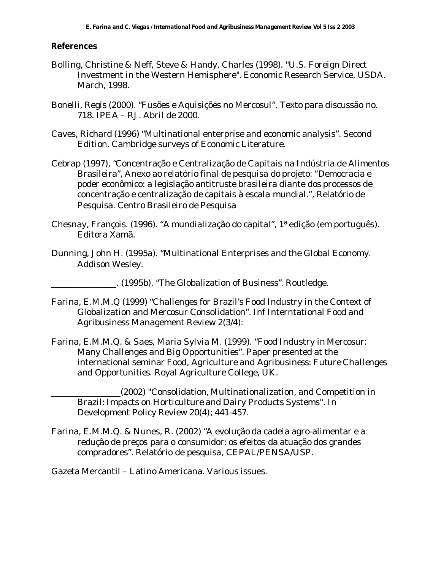#### **References**

- Bolling, Christine & Neff, Steve & Handy, Charles (1998). "U.S. Foreign Direct Investment in the Western Hemisphere". Economic Research Service, USDA. March, 1998.
- Bonelli, Regis (2000). "Fusões e Aquisições no Mercosul". Texto para discussão no. 718. IPEA – RJ. Abril de 2000.
- Caves, Richard (1996) "Multinational enterprise and economic analysis". Second Edition. Cambridge surveys of Economic Literature.
- Cebrap (1997), "Concentração e Centralização de Capitais na Indústria de Alimentos Brasileira", Anexo ao relatório final de pesquisa do projeto: "Democracia e poder econômico: a legislação antitruste brasileira diante dos processos de concentração e centralização de capitais à escala mundial.", Relatório de Pesquisa. Centro Brasileiro de Pesquisa
- Chesnay, François. (1996). "A mundialização do capital", 1ª edição (em português). Editora Xamã.
- Dunning, John H. (1995a). "Multinational Enterprises and the Global Economy. Addison Wesley.

\_\_\_\_\_\_\_\_\_\_\_\_\_\_\_. (1995b). "The Globalization of Business". Routledge.

- Farina, E.M.M.Q (1999) "Challenges for Brazil's Food Industry in the Context of Globalization and Mercosur Consolidation". Inf Interntational Food and Agribusiness Management Review 2(3/4):
- Farina, E.M.M.Q. & Saes, Maria Sylvia M. (1999). "Food Industry in Mercosur: Many Challenges and Big Opportunities". Paper presented at the international seminar *Food, Agriculture and Agribusiness: Future Challenges and Opportunities*. Royal Agriculture College, UK.

\_\_\_\_\_\_\_\_\_\_\_\_\_\_\_\_(2002) "Consolidation, Multinationalization, and Competition in Brazil: Impacts on Horticulture and Dairy Products Systems". In Development Policy Review 20(4); 441-457.

Farina, E.M.M.Q. & Nunes, R. (2002) "A evolução da cadeia agro-alimentar e a redução de preços para o consumidor: os efeitos da atuação dos grandes compradores". Relatório de pesquisa, CEPAL/PENSA/USP.

Gazeta Mercantil – Latino Americana. Various issues.